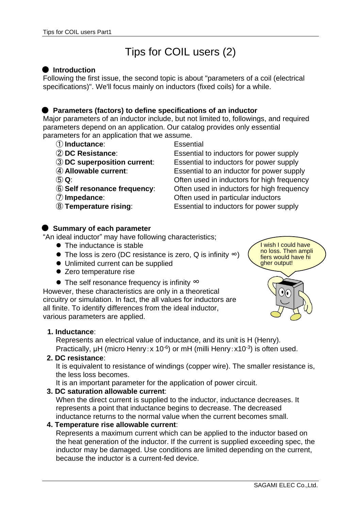# Tips for COIL users (2)

## **Introduction**

Following the first issue, the second topic is about "parameters of a coil (electrical specifications)". We'll focus mainly on inductors (fixed coils) for a while.

#### **Parameters (factors) to define specifications of an inductor**

Major parameters of an inductor include, but not limited to, followings, and required parameters depend on an application. Our catalog provides only essential parameters for an application that we assume.

- ① **Inductance**: Essential
- 
- 
- 
- 
- 
- 
- 

 **DC Resistance**: Essential to inductors for power supply **DC superposition current**: Essential to inductors for power supply **Allowable current**: Essential to an inductor for power supply **Q**: Often used in inductors for high frequency **Self resonance frequency**: Often used in inductors for high frequency **Impedance**: Often used in particular inductors **Temperature rising**: Essential to inductors for power supply

## **Summary of each parameter**

"An ideal inductor" may have following characteristics;

- The inductance is stable
- ⚫ The loss is zero (DC resistance is zero, Q is infinity ∞)
- ⚫ Unlimited current can be supplied
- Zero temperature rise
- The self resonance frequency is infinity  $\infty$

However, these characteristics are only in a theoretical circuitry or simulation. In fact, the all values for inductors are all finite. To identify differences from the ideal inductor, various parameters are applied.



Represents an electrical value of inductance, and its unit is H (Henry). Practically,  $\mu$ H (micro Henry: x 10<sup>-6</sup>) or mH (milli Henry: x10<sup>-3</sup>) is often used.

**2. DC resistance**:

It is equivalent to resistance of windings (copper wire). The smaller resistance is, the less loss becomes.

It is an important parameter for the application of power circuit.

## **3. DC saturation allowable current**:

When the direct current is supplied to the inductor, inductance decreases. It represents a point that inductance begins to decrease. The decreased inductance returns to the normal value when the current becomes small.

#### **4. Temperature rise allowable current**:

Represents a maximum current which can be applied to the inductor based on the heat generation of the inductor. If the current is supplied exceeding spec, the inductor may be damaged. Use conditions are limited depending on the current, because the inductor is a current-fed device.

no loss. Then ampli fiers would have hi gher output!

I wish I could have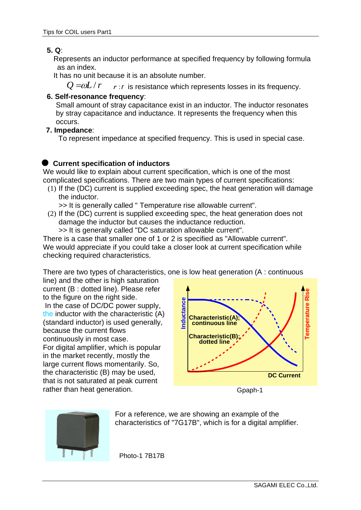## **5. Q**:

Represents an inductor performance at specified frequency by following formula as an index.

It has no unit because it is an absolute number.

 $Q = \omega L / r$  r : *r* is resistance which represents losses in its frequency.

## **6. Self-resonance frequency**:

Small amount of stray capacitance exist in an inductor. The inductor resonates by stray capacitance and inductance. It represents the frequency when this occurs.

#### **7. Impedance**:

To represent impedance at specified frequency. This is used in special case.

## **Current specification of inductors**

We would like to explain about current specification, which is one of the most complicated specifications. There are two main types of current specifications:

(1) If the (DC) current is supplied exceeding spec, the heat generation will damage the inductor.

>> It is generally called " Temperature rise allowable current".

(2) If the (DC) current is supplied exceeding spec, the heat generation does not damage the inductor but causes the inductance reduction.

>> It is generally called "DC saturation allowable current".

There is a case that smaller one of 1 or 2 is specified as "Allowable current". We would appreciate if you could take a closer look at current specification while checking required characteristics.

There are two types of characteristics, one is low heat generation (A : continuous

line) and the other is high saturation current (B : dotted line). Please refer to the figure on the right side. In the case of DC/DC power supply, the inductor with the characteristic (A) (standard inductor) is used generally, because the current flows continuously in most case. For digital amplifier, which is popular in the market recently, mostly the large current flows momentarily. So, the characteristic (B) may be used, that is not saturated at peak current rather than heat generation.



Gpaph-1



For a reference, we are showing an example of the characteristics of "7G17B", which is for a digital amplifier.

Photo-1 7B17B